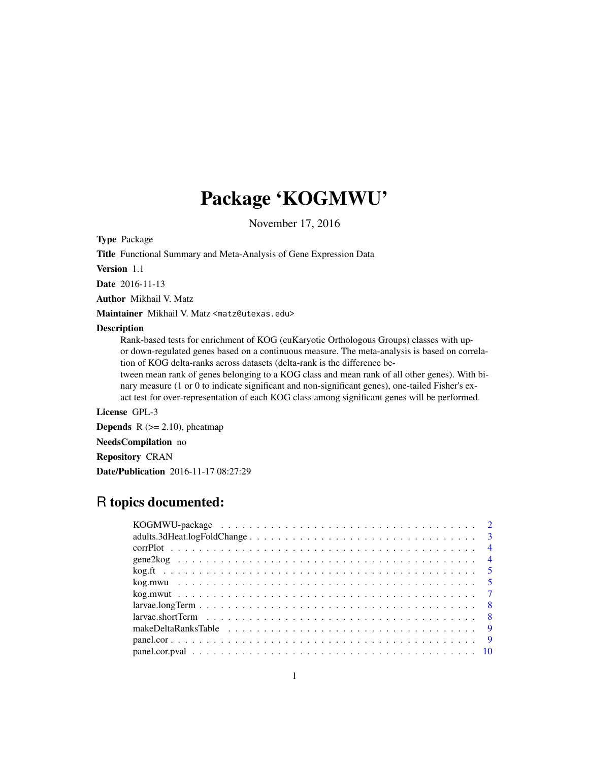# Package 'KOGMWU'

November 17, 2016

Type Package

Title Functional Summary and Meta-Analysis of Gene Expression Data

Version 1.1

Date 2016-11-13

Author Mikhail V. Matz

Maintainer Mikhail V. Matz <matz@utexas.edu>

# Description

Rank-based tests for enrichment of KOG (euKaryotic Orthologous Groups) classes with upor down-regulated genes based on a continuous measure. The meta-analysis is based on correlation of KOG delta-ranks across datasets (delta-rank is the difference be-

tween mean rank of genes belonging to a KOG class and mean rank of all other genes). With binary measure (1 or 0 to indicate significant and non-significant genes), one-tailed Fisher's exact test for over-representation of each KOG class among significant genes will be performed.

License GPL-3

**Depends**  $R$  ( $>= 2.10$ ), pheatmap

NeedsCompilation no

Repository CRAN

Date/Publication 2016-11-17 08:27:29

# R topics documented: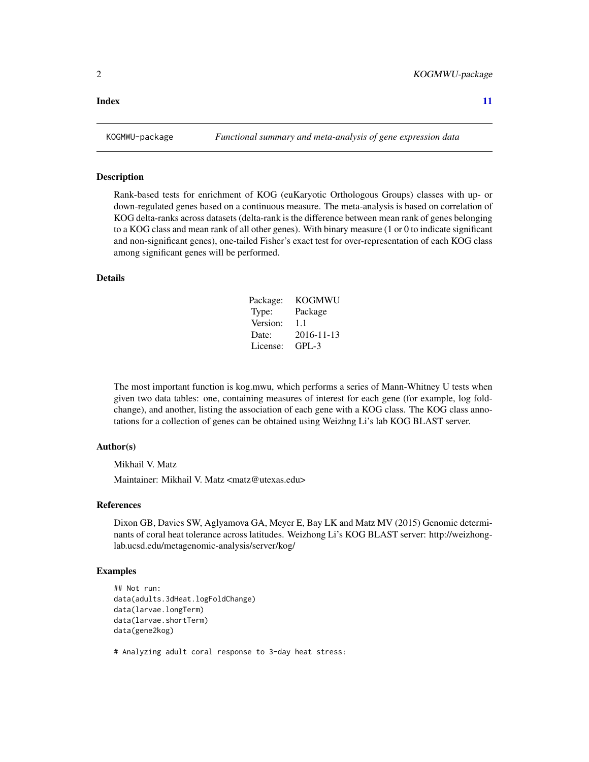# <span id="page-1-0"></span>**Index** [11](#page-10-0)

#### Description

Rank-based tests for enrichment of KOG (euKaryotic Orthologous Groups) classes with up- or down-regulated genes based on a continuous measure. The meta-analysis is based on correlation of KOG delta-ranks across datasets (delta-rank is the difference between mean rank of genes belonging to a KOG class and mean rank of all other genes). With binary measure (1 or 0 to indicate significant and non-significant genes), one-tailed Fisher's exact test for over-representation of each KOG class among significant genes will be performed.

# Details

| Package: | <b>KOGMWU</b> |
|----------|---------------|
| Type:    | Package       |
| Version: | 1.1           |
| Date:    | 2016-11-13    |
| License: | GPL-3         |

The most important function is kog.mwu, which performs a series of Mann-Whitney U tests when given two data tables: one, containing measures of interest for each gene (for example, log foldchange), and another, listing the association of each gene with a KOG class. The KOG class annotations for a collection of genes can be obtained using Weizhng Li's lab KOG BLAST server.

#### Author(s)

Mikhail V. Matz

Maintainer: Mikhail V. Matz <matz@utexas.edu>

# References

Dixon GB, Davies SW, Aglyamova GA, Meyer E, Bay LK and Matz MV (2015) Genomic determinants of coral heat tolerance across latitudes. Weizhong Li's KOG BLAST server: http://weizhonglab.ucsd.edu/metagenomic-analysis/server/kog/

# Examples

```
## Not run:
data(adults.3dHeat.logFoldChange)
data(larvae.longTerm)
data(larvae.shortTerm)
data(gene2kog)
```
# Analyzing adult coral response to 3-day heat stress: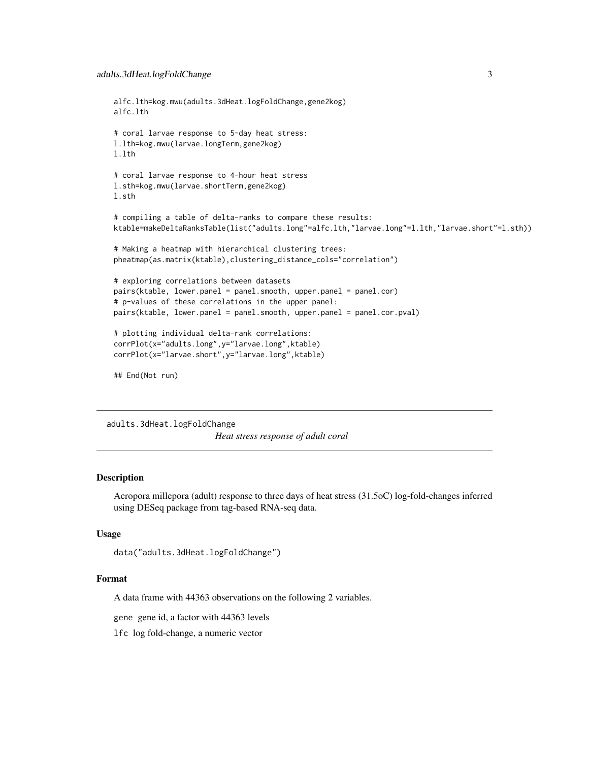```
alfc.lth=kog.mwu(adults.3dHeat.logFoldChange,gene2kog)
alfc.lth
# coral larvae response to 5-day heat stress:
l.lth=kog.mwu(larvae.longTerm,gene2kog)
l.lth
# coral larvae response to 4-hour heat stress
l.sth=kog.mwu(larvae.shortTerm,gene2kog)
l.sth
# compiling a table of delta-ranks to compare these results:
ktable=makeDeltaRanksTable(list("adults.long"=alfc.lth,"larvae.long"=l.lth,"larvae.short"=l.sth))
# Making a heatmap with hierarchical clustering trees:
pheatmap(as.matrix(ktable),clustering_distance_cols="correlation")
# exploring correlations between datasets
pairs(ktable, lower.panel = panel.smooth, upper.panel = panel.cor)
# p-values of these correlations in the upper panel:
pairs(ktable, lower.panel = panel.smooth, upper.panel = panel.cor.pval)
# plotting individual delta-rank correlations:
corrPlot(x="adults.long",y="larvae.long",ktable)
corrPlot(x="larvae.short",y="larvae.long",ktable)
## End(Not run)
```
adults.3dHeat.logFoldChange

*Heat stress response of adult coral*

#### **Description**

Acropora millepora (adult) response to three days of heat stress (31.5oC) log-fold-changes inferred using DESeq package from tag-based RNA-seq data.

# Usage

```
data("adults.3dHeat.logFoldChange")
```
#### Format

A data frame with 44363 observations on the following 2 variables.

gene gene id, a factor with 44363 levels

lfc log fold-change, a numeric vector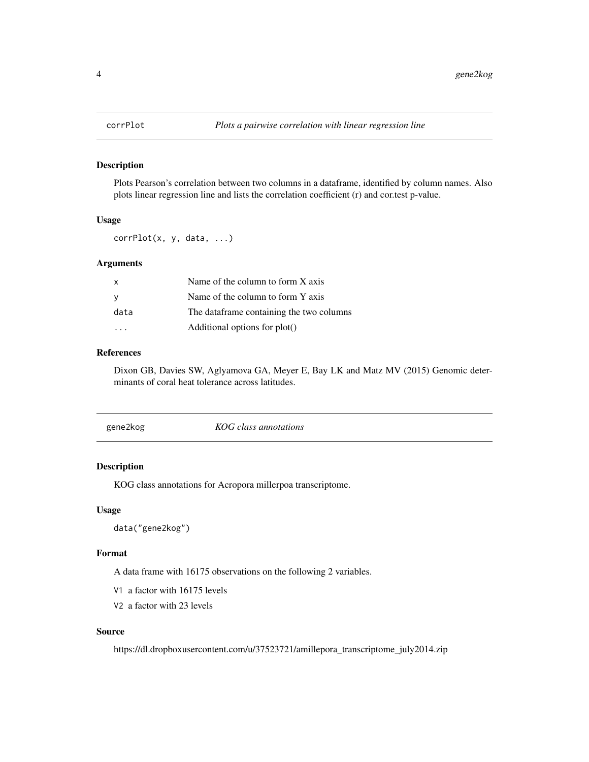<span id="page-3-0"></span>

# Description

Plots Pearson's correlation between two columns in a dataframe, identified by column names. Also plots linear regression line and lists the correlation coefficient (r) and cor.test p-value.

# Usage

corrPlot(x, y, data, ...)

# Arguments

| x    | Name of the column to form X axis        |
|------|------------------------------------------|
|      | Name of the column to form Y axis        |
| data | The dataframe containing the two columns |
|      | Additional options for plot()            |

## References

Dixon GB, Davies SW, Aglyamova GA, Meyer E, Bay LK and Matz MV (2015) Genomic determinants of coral heat tolerance across latitudes.

| gene2kog | KOG class annotations |
|----------|-----------------------|
|----------|-----------------------|

# Description

KOG class annotations for Acropora millerpoa transcriptome.

#### Usage

data("gene2kog")

# Format

A data frame with 16175 observations on the following 2 variables.

V1 a factor with 16175 levels

V2 a factor with 23 levels

# Source

https://dl.dropboxusercontent.com/u/37523721/amillepora\_transcriptome\_july2014.zip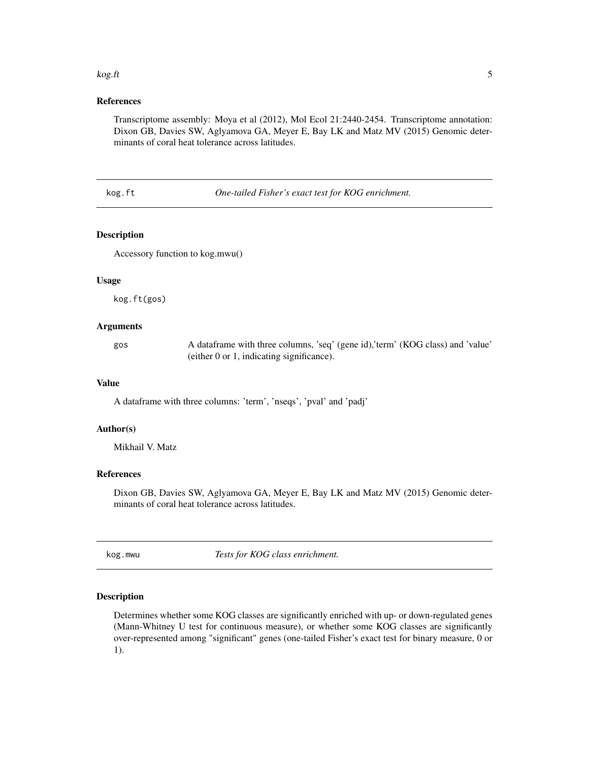#### <span id="page-4-0"></span> $kog.ft$  5

# References

Transcriptome assembly: Moya et al (2012), Mol Ecol 21:2440-2454. Transcriptome annotation: Dixon GB, Davies SW, Aglyamova GA, Meyer E, Bay LK and Matz MV (2015) Genomic determinants of coral heat tolerance across latitudes.

kog.ft *One-tailed Fisher's exact test for KOG enrichment.*

# Description

Accessory function to kog.mwu()

# Usage

kog.ft(gos)

# Arguments

| gos | A data frame with three columns, 'seq' (gene id),'term' (KOG class) and 'value' |
|-----|---------------------------------------------------------------------------------|
|     | (either 0 or 1, indicating significance).                                       |

#### Value

A dataframe with three columns: 'term', 'nseqs', 'pval' and 'padj'

# Author(s)

Mikhail V. Matz

# References

Dixon GB, Davies SW, Aglyamova GA, Meyer E, Bay LK and Matz MV (2015) Genomic determinants of coral heat tolerance across latitudes.

kog.mwu *Tests for KOG class enrichment.*

# Description

Determines whether some KOG classes are significantly enriched with up- or down-regulated genes (Mann-Whitney U test for continuous measure), or whether some KOG classes are significantly over-represented among "significant" genes (one-tailed Fisher's exact test for binary measure, 0 or 1).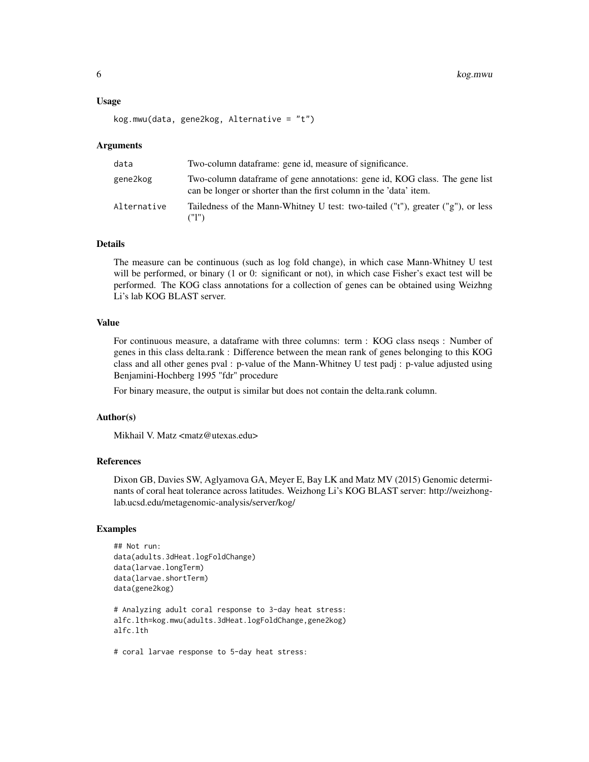#### Usage

```
kog.mwu(data, gene2kog, Alternative = "t")
```
#### Arguments

| data        | Two-column dataframe: gene id, measure of significance.                                                                                           |
|-------------|---------------------------------------------------------------------------------------------------------------------------------------------------|
| gene2kog    | Two-column dataframe of gene annotations: gene id, KOG class. The gene list<br>can be longer or shorter than the first column in the 'data' item. |
| Alternative | Tailedness of the Mann-Whitney U test: two-tailed ("t"), greater ("g"), or less<br>(T1")                                                          |

### Details

The measure can be continuous (such as log fold change), in which case Mann-Whitney U test will be performed, or binary (1 or 0: significant or not), in which case Fisher's exact test will be performed. The KOG class annotations for a collection of genes can be obtained using Weizhng Li's lab KOG BLAST server.

# Value

For continuous measure, a dataframe with three columns: term : KOG class nseqs : Number of genes in this class delta.rank : Difference between the mean rank of genes belonging to this KOG class and all other genes pval : p-value of the Mann-Whitney U test padj : p-value adjusted using Benjamini-Hochberg 1995 "fdr" procedure

For binary measure, the output is similar but does not contain the delta.rank column.

### Author(s)

Mikhail V. Matz <matz@utexas.edu>

# References

Dixon GB, Davies SW, Aglyamova GA, Meyer E, Bay LK and Matz MV (2015) Genomic determinants of coral heat tolerance across latitudes. Weizhong Li's KOG BLAST server: http://weizhonglab.ucsd.edu/metagenomic-analysis/server/kog/

# Examples

```
## Not run:
data(adults.3dHeat.logFoldChange)
data(larvae.longTerm)
data(larvae.shortTerm)
data(gene2kog)
# Analyzing adult coral response to 3-day heat stress:
alfc.lth=kog.mwu(adults.3dHeat.logFoldChange,gene2kog)
alfc.lth
```
# coral larvae response to 5-day heat stress: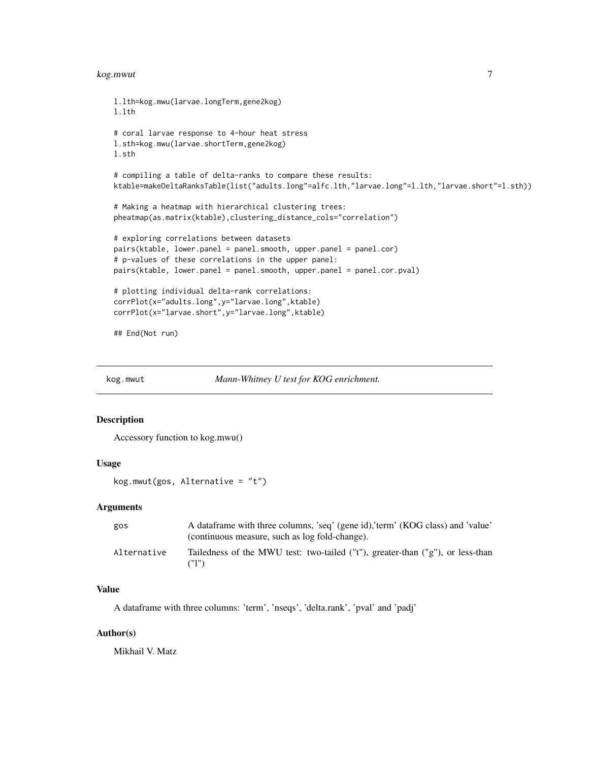#### <span id="page-6-0"></span>kog.mwut 7

```
l.lth=kog.mwu(larvae.longTerm,gene2kog)
l.lth
# coral larvae response to 4-hour heat stress
l.sth=kog.mwu(larvae.shortTerm,gene2kog)
l.sth
# compiling a table of delta-ranks to compare these results:
ktable=makeDeltaRanksTable(list("adults.long"=alfc.lth,"larvae.long"=l.lth,"larvae.short"=l.sth))
# Making a heatmap with hierarchical clustering trees:
pheatmap(as.matrix(ktable),clustering_distance_cols="correlation")
# exploring correlations between datasets
pairs(ktable, lower.panel = panel.smooth, upper.panel = panel.cor)
# p-values of these correlations in the upper panel:
pairs(ktable, lower.panel = panel.smooth, upper.panel = panel.cor.pval)
# plotting individual delta-rank correlations:
corrPlot(x="adults.long",y="larvae.long",ktable)
corrPlot(x="larvae.short",y="larvae.long",ktable)
## End(Not run)
```
kog.mwut *Mann-Whitney U test for KOG enrichment.*

#### Description

Accessory function to kog.mwu()

# Usage

kog.mwut(gos, Alternative = "t")

#### **Arguments**

| gos         | A dataframe with three columns, 'seq' (gene id),'term' (KOG class) and 'value'<br>(continuous measure, such as log fold-change). |
|-------------|----------------------------------------------------------------------------------------------------------------------------------|
| Alternative | Tailedness of the MWU test: two-tailed ("t"), greater-than ("g"), or less-than<br>("1")                                          |

#### Value

A dataframe with three columns: 'term', 'nseqs', 'delta.rank', 'pval' and 'padj'

# Author(s)

Mikhail V. Matz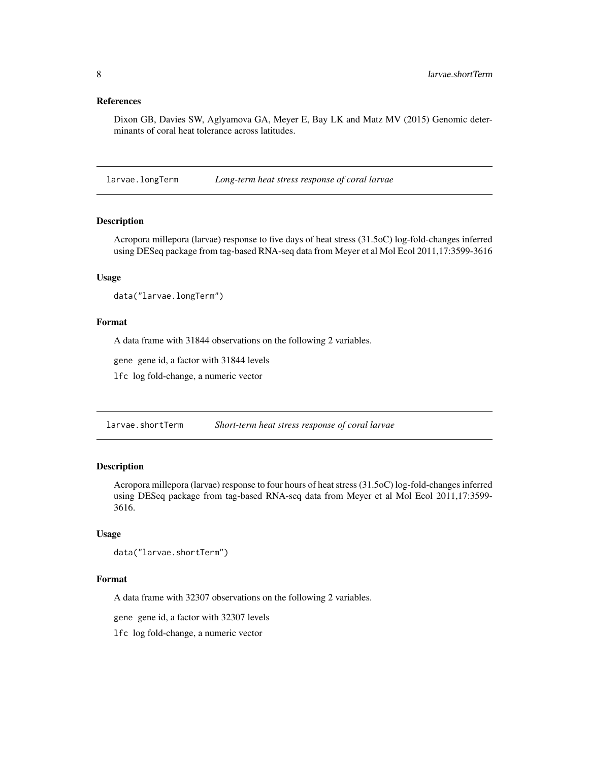# <span id="page-7-0"></span>References

Dixon GB, Davies SW, Aglyamova GA, Meyer E, Bay LK and Matz MV (2015) Genomic determinants of coral heat tolerance across latitudes.

larvae.longTerm *Long-term heat stress response of coral larvae*

# Description

Acropora millepora (larvae) response to five days of heat stress (31.5oC) log-fold-changes inferred using DESeq package from tag-based RNA-seq data from Meyer et al Mol Ecol 2011,17:3599-3616

# Usage

data("larvae.longTerm")

# Format

A data frame with 31844 observations on the following 2 variables.

gene gene id, a factor with 31844 levels

lfc log fold-change, a numeric vector

larvae.shortTerm *Short-term heat stress response of coral larvae*

## Description

Acropora millepora (larvae) response to four hours of heat stress (31.5oC) log-fold-changes inferred using DESeq package from tag-based RNA-seq data from Meyer et al Mol Ecol 2011,17:3599- 3616.

#### Usage

```
data("larvae.shortTerm")
```
#### Format

A data frame with 32307 observations on the following 2 variables.

gene gene id, a factor with 32307 levels

lfc log fold-change, a numeric vector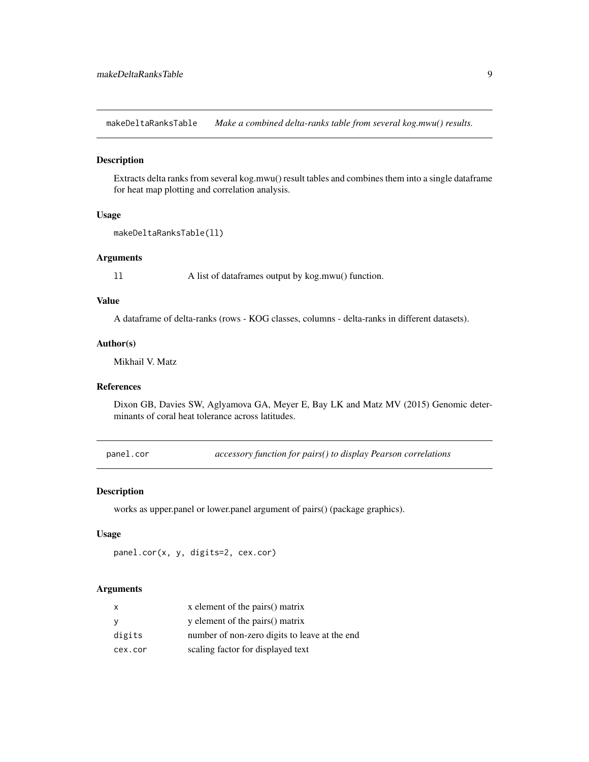<span id="page-8-0"></span>makeDeltaRanksTable *Make a combined delta-ranks table from several kog.mwu() results.*

# Description

Extracts delta ranks from several kog.mwu() result tables and combines them into a single dataframe for heat map plotting and correlation analysis.

# Usage

```
makeDeltaRanksTable(ll)
```
#### Arguments

ll A list of dataframes output by kog.mwu() function.

# Value

A dataframe of delta-ranks (rows - KOG classes, columns - delta-ranks in different datasets).

# Author(s)

Mikhail V. Matz

# References

Dixon GB, Davies SW, Aglyamova GA, Meyer E, Bay LK and Matz MV (2015) Genomic determinants of coral heat tolerance across latitudes.

panel.cor *accessory function for pairs() to display Pearson correlations*

# Description

works as upper.panel or lower.panel argument of pairs() (package graphics).

# Usage

```
panel.cor(x, y, digits=2, cex.cor)
```
#### **Arguments**

| X        | x element of the pairs() matrix               |
|----------|-----------------------------------------------|
| <b>V</b> | y element of the pairs() matrix               |
| digits   | number of non-zero digits to leave at the end |
| cex.cor  | scaling factor for displayed text             |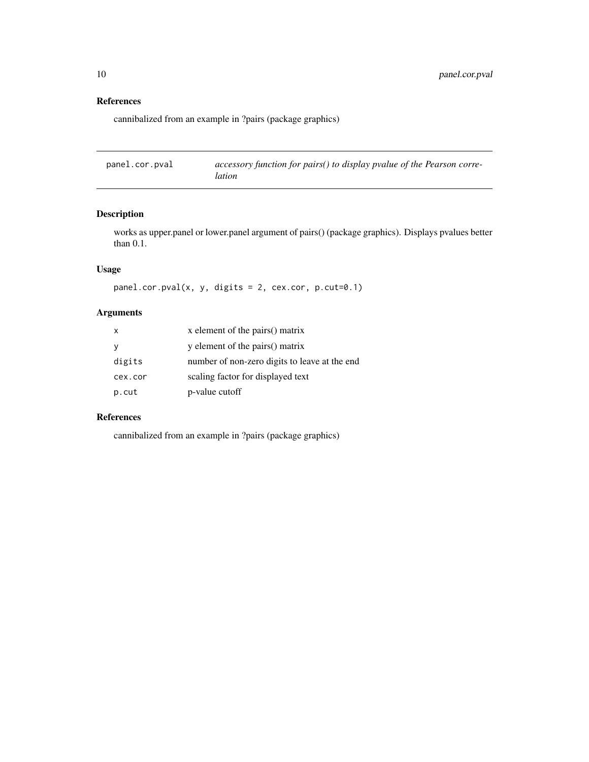# References

cannibalized from an example in ?pairs (package graphics)

panel.cor.pval *accessory function for pairs() to display pvalue of the Pearson correlation*

# Description

works as upper.panel or lower.panel argument of pairs() (package graphics). Displays pvalues better than 0.1.

# Usage

```
panel.cor.pval(x, y, digits = 2, cex.cor, p.cut=0.1)
```
# Arguments

| x       | x element of the pairs() matrix               |
|---------|-----------------------------------------------|
| У       | y element of the pairs() matrix               |
| digits  | number of non-zero digits to leave at the end |
| cex.cor | scaling factor for displayed text             |
| p.cut   | p-value cutoff                                |

# References

cannibalized from an example in ?pairs (package graphics)

<span id="page-9-0"></span>